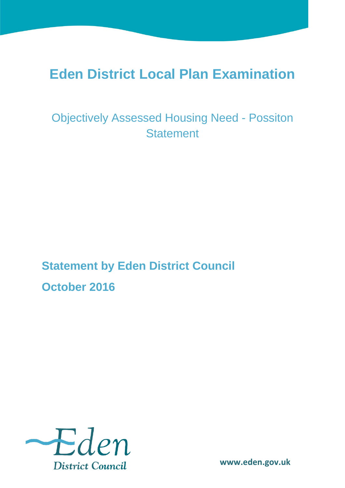# **Eden District Local Plan Examination**

Objectively Assessed Housing Need - Possiton **Statement** 

**Statement by Eden District Council October 2016**

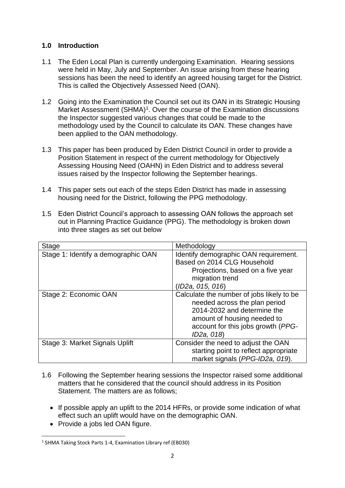## **1.0 Introduction**

- 1.1 The Eden Local Plan is currently undergoing Examination. Hearing sessions were held in May, July and September. An issue arising from these hearing sessions has been the need to identify an agreed housing target for the District. This is called the Objectively Assessed Need (OAN).
- 1.2 Going into the Examination the Council set out its OAN in its Strategic Housing Market Assessment (SHMA)<sup>1</sup>. Over the course of the Examination discussions the Inspector suggested various changes that could be made to the methodology used by the Council to calculate its OAN. These changes have been applied to the OAN methodology.
- 1.3 This paper has been produced by Eden District Council in order to provide a Position Statement in respect of the current methodology for Objectively Assessing Housing Need (OAHN) in Eden District and to address several issues raised by the Inspector following the September hearings.
- 1.4 This paper sets out each of the steps Eden District has made in assessing housing need for the District, following the PPG methodology.

| <b>Stage</b>                        | Methodology                               |  |
|-------------------------------------|-------------------------------------------|--|
| Stage 1: Identify a demographic OAN | Identify demographic OAN requirement.     |  |
|                                     | Based on 2014 CLG Household               |  |
|                                     | Projections, based on a five year         |  |
|                                     | migration trend                           |  |
|                                     | (ID2a, 015, 016)                          |  |
| Stage 2: Economic OAN               | Calculate the number of jobs likely to be |  |
|                                     | needed across the plan period             |  |
|                                     | 2014-2032 and determine the               |  |
|                                     | amount of housing needed to               |  |
|                                     | account for this jobs growth (PPG-        |  |
|                                     | ID <sub>2</sub> a, 018)                   |  |
| Stage 3: Market Signals Uplift      | Consider the need to adjust the OAN       |  |
|                                     | starting point to reflect appropriate     |  |
|                                     | market signals (PPG-ID2a, 019).           |  |

1.5 Eden District Council's approach to assessing OAN follows the approach set out in Planning Practice Guidance (PPG). The methodology is broken down into three stages as set out below

- 1.6 Following the September hearing sessions the Inspector raised some additional matters that he considered that the council should address in its Position Statement. The matters are as follows;
	- If possible apply an uplift to the 2014 HFRs, or provide some indication of what effect such an uplift would have on the demographic OAN.
	- Provide a jobs led OAN figure.

<sup>&</sup>lt;sup>1</sup> SHMA Taking Stock Parts 1-4, Examination Library ref (EB030)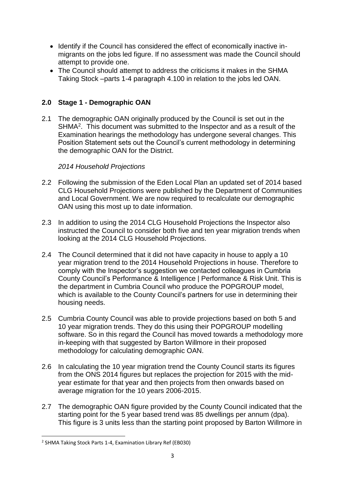- Identify if the Council has considered the effect of economically inactive inmigrants on the jobs led figure. If no assessment was made the Council should attempt to provide one.
- The Council should attempt to address the criticisms it makes in the SHMA Taking Stock –parts 1-4 paragraph 4.100 in relation to the jobs led OAN.

## **2.0 Stage 1 - Demographic OAN**

2.1 The demographic OAN originally produced by the Council is set out in the SHMA<sup>2</sup>. This document was submitted to the Inspector and as a result of the Examination hearings the methodology has undergone several changes. This Position Statement sets out the Council's current methodology in determining the demographic OAN for the District.

## *2014 Household Projections*

- 2.2 Following the submission of the Eden Local Plan an updated set of 2014 based CLG Household Projections were published by the Department of Communities and Local Government. We are now required to recalculate our demographic OAN using this most up to date information.
- 2.3 In addition to using the 2014 CLG Household Projections the Inspector also instructed the Council to consider both five and ten year migration trends when looking at the 2014 CLG Household Projections.
- 2.4 The Council determined that it did not have capacity in house to apply a 10 year migration trend to the 2014 Household Projections in house. Therefore to comply with the Inspector's suggestion we contacted colleagues in Cumbria County Council's Performance & Intelligence | Performance & Risk Unit. This is the department in Cumbria Council who produce the POPGROUP model, which is available to the County Council's partners for use in determining their housing needs.
- 2.5 Cumbria County Council was able to provide projections based on both 5 and 10 year migration trends. They do this using their POPGROUP modelling software. So in this regard the Council has moved towards a methodology more in-keeping with that suggested by Barton Willmore in their proposed methodology for calculating demographic OAN.
- 2.6 In calculating the 10 year migration trend the County Council starts its figures from the ONS 2014 figures but replaces the projection for 2015 with the midyear estimate for that year and then projects from then onwards based on average migration for the 10 years 2006-2015.
- 2.7 The demographic OAN figure provided by the County Council indicated that the starting point for the 5 year based trend was 85 dwellings per annum (dpa). This figure is 3 units less than the starting point proposed by Barton Willmore in

**<sup>.</sup>** 2 SHMA Taking Stock Parts 1-4, Examination Library Ref (EB030)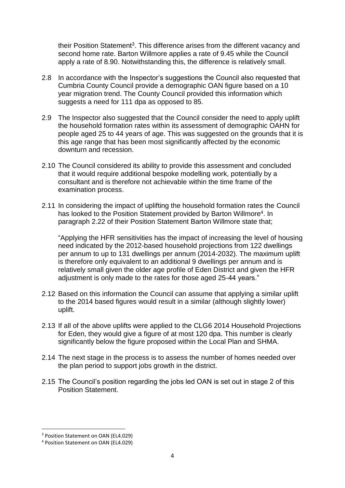their Position Statement<sup>3</sup>. This difference arises from the different vacancy and second home rate. Barton Willmore applies a rate of 9.45 while the Council apply a rate of 8.90. Notwithstanding this, the difference is relatively small.

- 2.8 In accordance with the Inspector's suggestions the Council also requested that Cumbria County Council provide a demographic OAN figure based on a 10 year migration trend. The County Council provided this information which suggests a need for 111 dpa as opposed to 85.
- 2.9 The Inspector also suggested that the Council consider the need to apply uplift the household formation rates within its assessment of demographic OAHN for people aged 25 to 44 years of age. This was suggested on the grounds that it is this age range that has been most significantly affected by the economic downturn and recession.
- 2.10 The Council considered its ability to provide this assessment and concluded that it would require additional bespoke modelling work, potentially by a consultant and is therefore not achievable within the time frame of the examination process.
- 2.11 In considering the impact of uplifting the household formation rates the Council has looked to the Position Statement provided by Barton Willmore<sup>4</sup>. In paragraph 2.22 of their Position Statement Barton Willmore state that;

"Applying the HFR sensitivities has the impact of increasing the level of housing need indicated by the 2012-based household projections from 122 dwellings per annum to up to 131 dwellings per annum (2014-2032). The maximum uplift is therefore only equivalent to an additional 9 dwellings per annum and is relatively small given the older age profile of Eden District and given the HFR adjustment is only made to the rates for those aged 25-44 years."

- 2.12 Based on this information the Council can assume that applying a similar uplift to the 2014 based figures would result in a similar (although slightly lower) uplift.
- 2.13 If all of the above uplifts were applied to the CLG6 2014 Household Projections for Eden, they would give a figure of at most 120 dpa. This number is clearly significantly below the figure proposed within the Local Plan and SHMA.
- 2.14 The next stage in the process is to assess the number of homes needed over the plan period to support jobs growth in the district.
- 2.15 The Council's position regarding the jobs led OAN is set out in stage 2 of this Position Statement.

<sup>&</sup>lt;sup>3</sup> Position Statement on OAN (EL4.029)

<sup>4</sup> Position Statement on OAN (EL4.029)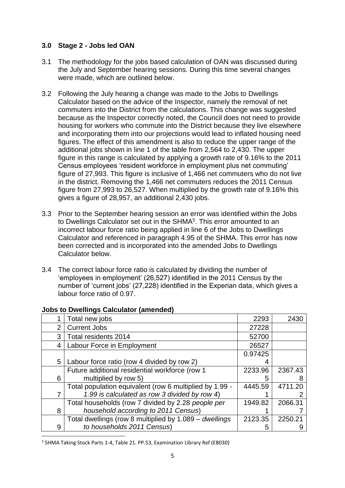## **3.0 Stage 2 - Jobs led OAN**

- 3.1 The methodology for the jobs based calculation of OAN was discussed during the July and September hearing sessions. During this time several changes were made, which are outlined below.
- 3.2 Following the July hearing a change was made to the Jobs to Dwellings Calculator based on the advice of the Inspector, namely the removal of net commuters into the District from the calculations. This change was suggested because as the Inspector correctly noted, the Council does not need to provide housing for workers who commute into the District because they live elsewhere and incorporating them into our projections would lead to inflated housing need figures. The effect of this amendment is also to reduce the upper range of the additional jobs shown in line 1 of the table from 2,564 to 2,430. The upper figure in this range is calculated by applying a growth rate of 9.16% to the 2011 Census employees 'resident workforce in employment plus net commuting' figure of 27,993. This figure is inclusive of 1,466 net commuters who do not live in the district. Removing the 1,466 net commuters reduces the 2011 Census figure from 27,993 to 26,527. When multiplied by the growth rate of 9.16% this gives a figure of 28,957, an additional 2,430 jobs.
- 3.3 Prior to the September hearing session an error was identified within the Jobs to Dwellings Calculator set out in the SHMA<sup>5</sup>. This error amounted to an incorrect labour force ratio being applied in line 6 of the Jobs to Dwellings Calculator and referenced in paragraph 4.95 of the SHMA. This error has now been corrected and is incorporated into the amended Jobs to Dwellings Calculator below.
- 3.4 The correct labour force ratio is calculated by dividing the number of 'employees in employment' (26,527) identified in the 2011 Census by the number of 'current jobs' (27,228) identified in the Experian data, which gives a labour force ratio of 0.97.

|                | Total new jobs                                          | 2293    | 2430    |
|----------------|---------------------------------------------------------|---------|---------|
| $\overline{2}$ | <b>Current Jobs</b>                                     | 27228   |         |
| 3              | Total residents 2014                                    | 52700   |         |
| 4              | Labour Force in Employment                              |         |         |
|                |                                                         | 0.97425 |         |
| 5              | Labour force ratio (row 4 divided by row 2)             |         |         |
|                | Future additional residential workforce (row 1          | 2233.96 | 2367.43 |
| 6              | multiplied by row 5)                                    | 5       |         |
|                | Total population equivalent (row 6 multiplied by 1.99 - | 4445.59 | 4711.20 |
|                | 1.99 is calculated as row 3 divided by row 4)           |         |         |
|                | Total households (row 7 divided by 2.28 people per      | 1949.82 | 2066.31 |
| 8              | household according to 2011 Census)                     |         |         |
|                | Total dwellings (row 8 multiplied by 1.089 - dwellings  | 2123.35 | 2250.21 |
| 9              | to households 2011 Census)                              |         |         |
|                |                                                         |         |         |

### **Jobs to Dwellings Calculator (amended)**

<sup>5</sup> SHMA Taking Stock Parts 1-4, Table 21. PP.53, Examination Library Ref (EB030)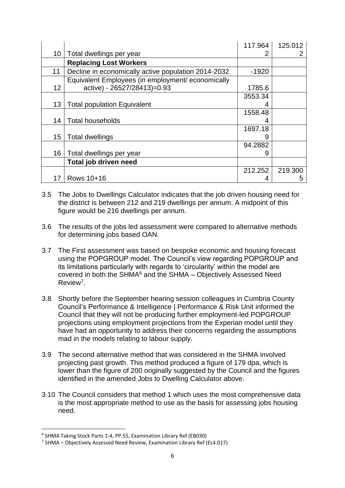|                 |                                                     | 117.964 | 125.012 |
|-----------------|-----------------------------------------------------|---------|---------|
| 10 <sup>°</sup> | Total dwellings per year                            |         |         |
|                 | <b>Replacing Lost Workers</b>                       |         |         |
| 11              | Decline in economically active population 2014-2032 | $-1920$ |         |
|                 | Equivalent Employees (in employment/ economically   |         |         |
| 12              | active) - 26527/28413)=0.93                         | 1785.6  |         |
|                 |                                                     | 3553.34 |         |
| 13              | <b>Total population Equivalent</b>                  |         |         |
|                 |                                                     | 1558.48 |         |
| 14              | <b>Total households</b>                             | 4       |         |
|                 |                                                     | 1697.18 |         |
| 15              | <b>Total dwellings</b>                              | 9       |         |
|                 |                                                     | 94.2882 |         |
| 16              | Total dwellings per year                            |         |         |
|                 | Total job driven need                               |         |         |
|                 |                                                     | 212.252 | 219.300 |
| 17              | Rows 10+16                                          |         | ხ       |

- 3.5 The Jobs to Dwellings Calculator indicates that the job driven housing need for the district is between 212 and 219 dwellings per annum. A midpoint of this figure would be 216 dwellings per annum.
- 3.6 The results of the jobs led assessment were compared to alternative methods for determining jobs based OAN.
- 3.7 The First assessment was based on bespoke economic and housing forecast using the POPGROUP model. The Council's view regarding POPGROUP and its limitations particularly with regards to 'circularity' within the model are covered in both the SHMA<sup>6</sup> and the SHMA – Objectively Assessed Need Review<sup>7</sup>.
- 3.8 Shortly before the September hearing session colleagues in Cumbria County Council's Performance & Intelligence | Performance & Risk Unit informed the Council that they will not be producing further employment-led POPGROUP projections using employment projections from the Experian model until they have had an opportunity to address their concerns regarding the assumptions mad in the models relating to labour supply.
- 3.9 The second alternative method that was considered in the SHMA involved projecting past growth. This method produced a figure of 179 dpa, which is lower than the figure of 200 originally suggested by the Council and the figures identified in the amended Jobs to Dwelling Calculator above.
- 3.10 The Council considers that method 1 which uses the most comprehensive data is the most appropriate method to use as the basis for assessing jobs housing need.

<sup>6</sup> SHMA Taking Stock Parts 1-4, PP.55, Examination Library Ref (EB030)

<sup>7</sup> SHMA – Objectively Assessed Need Review, Examination Library Ref (EL4.017)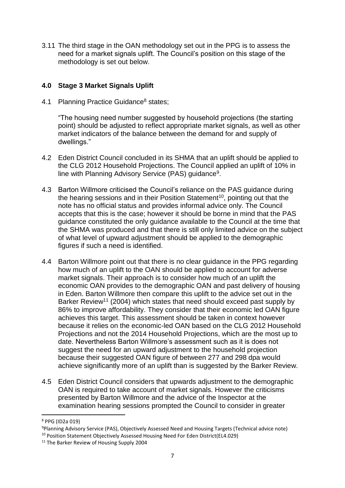3.11 The third stage in the OAN methodology set out in the PPG is to assess the need for a market signals uplift. The Council's position on this stage of the methodology is set out below.

## **4.0 Stage 3 Market Signals Uplift**

4.1 Planning Practice Guidance<sup>8</sup> states;

"The housing need number suggested by household projections (the starting point) should be adjusted to reflect appropriate market signals, as well as other market indicators of the balance between the demand for and supply of dwellings."

- 4.2 Eden District Council concluded in its SHMA that an uplift should be applied to the CLG 2012 Household Projections. The Council applied an uplift of 10% in line with Planning Advisory Service (PAS) guidance<sup>9</sup>.
- 4.3 Barton Willmore criticised the Council's reliance on the PAS guidance during the hearing sessions and in their Position Statement<sup>10</sup>, pointing out that the note has no official status and provides informal advice only. The Council accepts that this is the case; however it should be borne in mind that the PAS guidance constituted the only guidance available to the Council at the time that the SHMA was produced and that there is still only limited advice on the subject of what level of upward adjustment should be applied to the demographic figures if such a need is identified.
- 4.4 Barton Willmore point out that there is no clear guidance in the PPG regarding how much of an uplift to the OAN should be applied to account for adverse market signals. Their approach is to consider how much of an uplift the economic OAN provides to the demographic OAN and past delivery of housing in Eden. Barton Willmore then compare this uplift to the advice set out in the Barker Review<sup>11</sup> (2004) which states that need should exceed past supply by 86% to improve affordability. They consider that their economic led OAN figure achieves this target. This assessment should be taken in context however because it relies on the economic-led OAN based on the CLG 2012 Household Projections and not the 2014 Household Projections, which are the most up to date. Nevertheless Barton Willmore's assessment such as it is does not suggest the need for an upward adjustment to the household projection because their suggested OAN figure of between 277 and 298 dpa would achieve significantly more of an uplift than is suggested by the Barker Review.
- 4.5 Eden District Council considers that upwards adjustment to the demographic OAN is required to take account of market signals. However the criticisms presented by Barton Willmore and the advice of the Inspector at the examination hearing sessions prompted the Council to consider in greater

<sup>8</sup> PPG (ID2a 019)

<sup>9</sup>Planning Advisory Service (PAS), Objectively Assessed Need and Housing Targets (Technical advice note) <sup>10</sup> Position Statement Objectively Assessed Housing Need For Eden District(EL4.029)

<sup>&</sup>lt;sup>11</sup> The Barker Review of Housing Supply 2004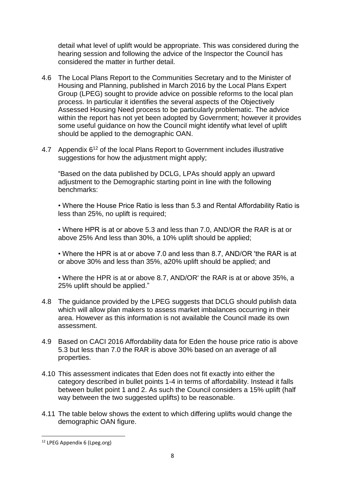detail what level of uplift would be appropriate. This was considered during the hearing session and following the advice of the Inspector the Council has considered the matter in further detail.

- 4.6 The Local Plans Report to the Communities Secretary and to the Minister of Housing and Planning, published in March 2016 by the Local Plans Expert Group (LPEG) sought to provide advice on possible reforms to the local plan process. In particular it identifies the several aspects of the Objectively Assessed Housing Need process to be particularly problematic. The advice within the report has not yet been adopted by Government; however it provides some useful guidance on how the Council might identify what level of uplift should be applied to the demographic OAN.
- 4.7 Appendix 6<sup>12</sup> of the local Plans Report to Government includes illustrative suggestions for how the adjustment might apply;

"Based on the data published by DCLG, LPAs should apply an upward adjustment to the Demographic starting point in line with the following benchmarks:

• Where the House Price Ratio is less than 5.3 and Rental Affordability Ratio is less than 25%, no uplift is required;

• Where HPR is at or above 5.3 and less than 7.0, AND/OR the RAR is at or above 25% And less than 30%, a 10% uplift should be applied;

• Where the HPR is at or above 7.0 and less than 8.7, AND/OR 'the RAR is at or above 30% and less than 35%, a20% uplift should be applied; and

• Where the HPR is at or above 8.7, AND/OR' the RAR is at or above 35%, a 25% uplift should be applied."

- 4.8 The guidance provided by the LPEG suggests that DCLG should publish data which will allow plan makers to assess market imbalances occurring in their area. However as this information is not available the Council made its own assessment.
- 4.9 Based on CACI 2016 Affordability data for Eden the house price ratio is above 5.3 but less than 7.0 the RAR is above 30% based on an average of all properties.
- 4.10 This assessment indicates that Eden does not fit exactly into either the category described in bullet points 1-4 in terms of affordability. Instead it falls between bullet point 1 and 2. As such the Council considers a 15% uplift (half way between the two suggested uplifts) to be reasonable.
- 4.11 The table below shows the extent to which differing uplifts would change the demographic OAN figure.

<sup>12</sup> LPEG Appendix 6 (Lpeg.org)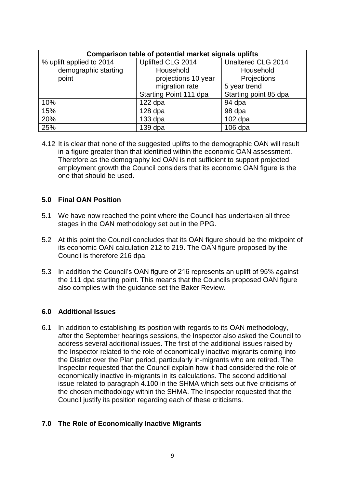| <b>Comparison table of potential market signals uplifts</b> |                        |                       |  |  |  |
|-------------------------------------------------------------|------------------------|-----------------------|--|--|--|
| % uplift applied to 2014                                    | Uplifted CLG 2014      | Unaltered CLG 2014    |  |  |  |
| demographic starting                                        | Household              | Household             |  |  |  |
| point                                                       | projections 10 year    | Projections           |  |  |  |
|                                                             | migration rate         | 5 year trend          |  |  |  |
|                                                             | Starting Point 111 dpa | Starting point 85 dpa |  |  |  |
| 10%                                                         | $122$ dpa              | 94 dpa                |  |  |  |
| 15%                                                         | $128$ dpa              | 98 dpa                |  |  |  |
| 20%                                                         | $133$ dpa              | $102$ dpa             |  |  |  |
| 25%                                                         | $139$ dpa              | $106$ dpa             |  |  |  |

4.12 It is clear that none of the suggested uplifts to the demographic OAN will result in a figure greater than that identified within the economic OAN assessment. Therefore as the demography led OAN is not sufficient to support projected employment growth the Council considers that its economic OAN figure is the one that should be used.

## **5.0 Final OAN Position**

- 5.1 We have now reached the point where the Council has undertaken all three stages in the OAN methodology set out in the PPG.
- 5.2 At this point the Council concludes that its OAN figure should be the midpoint of its economic OAN calculation 212 to 219. The OAN figure proposed by the Council is therefore 216 dpa.
- 5.3 In addition the Council's OAN figure of 216 represents an uplift of 95% against the 111 dpa starting point. This means that the Councils proposed OAN figure also complies with the guidance set the Baker Review.

### **6.0 Additional Issues**

6.1 In addition to establishing its position with regards to its OAN methodology, after the September hearings sessions, the Inspector also asked the Council to address several additional issues. The first of the additional issues raised by the Inspector related to the role of economically inactive migrants coming into the District over the Plan period, particularly in-migrants who are retired. The Inspector requested that the Council explain how it had considered the role of economically inactive in-migrants in its calculations. The second additional issue related to paragraph 4.100 in the SHMA which sets out five criticisms of the chosen methodology within the SHMA. The Inspector requested that the Council justify its position regarding each of these criticisms.

## **7.0 The Role of Economically Inactive Migrants**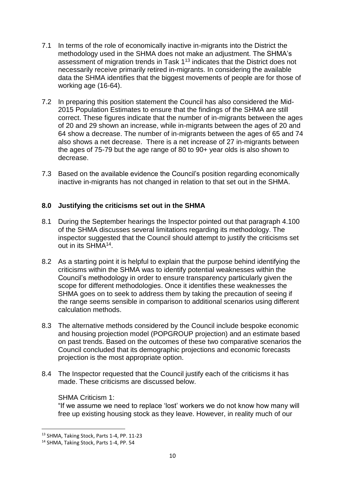- 7.1 In terms of the role of economically inactive in-migrants into the District the methodology used in the SHMA does not make an adjustment. The SHMA's assessment of migration trends in Task 1<sup>13</sup> indicates that the District does not necessarily receive primarily retired in-migrants. In considering the available data the SHMA identifies that the biggest movements of people are for those of working age (16-64).
- 7.2 In preparing this position statement the Council has also considered the Mid-2015 Population Estimates to ensure that the findings of the SHMA are still correct. These figures indicate that the number of in-migrants between the ages of 20 and 29 shown an increase, while in-migrants between the ages of 20 and 64 show a decrease. The number of in-migrants between the ages of 65 and 74 also shows a net decrease. There is a net increase of 27 in-migrants between the ages of 75-79 but the age range of 80 to 90+ year olds is also shown to decrease.
- 7.3 Based on the available evidence the Council's position regarding economically inactive in-migrants has not changed in relation to that set out in the SHMA.

## **8.0 Justifying the criticisms set out in the SHMA**

- 8.1 During the September hearings the Inspector pointed out that paragraph 4.100 of the SHMA discusses several limitations regarding its methodology. The inspector suggested that the Council should attempt to justify the criticisms set out in its SHMA<sup>14</sup>.
- 8.2 As a starting point it is helpful to explain that the purpose behind identifying the criticisms within the SHMA was to identify potential weaknesses within the Council's methodology in order to ensure transparency particularly given the scope for different methodologies. Once it identifies these weaknesses the SHMA goes on to seek to address them by taking the precaution of seeing if the range seems sensible in comparison to additional scenarios using different calculation methods.
- 8.3 The alternative methods considered by the Council include bespoke economic and housing projection model (POPGROUP projection) and an estimate based on past trends. Based on the outcomes of these two comparative scenarios the Council concluded that its demographic projections and economic forecasts projection is the most appropriate option.
- 8.4 The Inspector requested that the Council justify each of the criticisms it has made. These criticisms are discussed below.

### SHMA Criticism 1:

"If we assume we need to replace 'lost' workers we do not know how many will free up existing housing stock as they leave. However, in reality much of our

<sup>13</sup> SHMA, Taking Stock, Parts 1-4, PP. 11-23

<sup>14</sup> SHMA, Taking Stock, Parts 1-4, PP. 54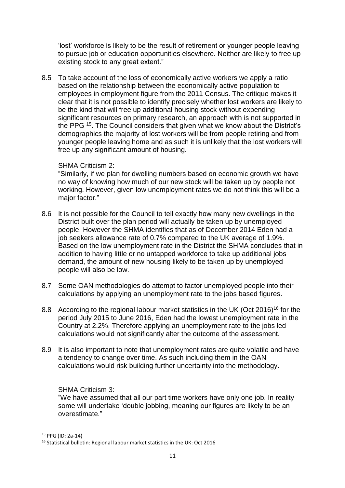'lost' workforce is likely to be the result of retirement or younger people leaving to pursue job or education opportunities elsewhere. Neither are likely to free up existing stock to any great extent."

8.5 To take account of the loss of economically active workers we apply a ratio based on the relationship between the economically active population to employees in employment figure from the 2011 Census. The critique makes it clear that it is not possible to identify precisely whether lost workers are likely to be the kind that will free up additional housing stock without expending significant resources on primary research, an approach with is not supported in the PPG <sup>15</sup>. The Council considers that given what we know about the District's demographics the majority of lost workers will be from people retiring and from younger people leaving home and as such it is unlikely that the lost workers will free up any significant amount of housing.

### SHMA Criticism 2:

"Similarly, if we plan for dwelling numbers based on economic growth we have no way of knowing how much of our new stock will be taken up by people not working. However, given low unemployment rates we do not think this will be a major factor."

- 8.6 It is not possible for the Council to tell exactly how many new dwellings in the District built over the plan period will actually be taken up by unemployed people. However the SHMA identifies that as of December 2014 Eden had a job seekers allowance rate of 0.7% compared to the UK average of 1.9%. Based on the low unemployment rate in the District the SHMA concludes that in addition to having little or no untapped workforce to take up additional jobs demand, the amount of new housing likely to be taken up by unemployed people will also be low.
- 8.7 Some OAN methodologies do attempt to factor unemployed people into their calculations by applying an unemployment rate to the jobs based figures.
- 8.8 According to the regional labour market statistics in the UK (Oct 2016)<sup>16</sup> for the period July 2015 to June 2016, Eden had the lowest unemployment rate in the Country at 2.2%. Therefore applying an unemployment rate to the jobs led calculations would not significantly alter the outcome of the assessment.
- 8.9 It is also important to note that unemployment rates are quite volatile and have a tendency to change over time. As such including them in the OAN calculations would risk building further uncertainty into the methodology.

SHMA Criticism 3:

"We have assumed that all our part time workers have only one job. In reality some will undertake 'double jobbing, meaning our figures are likely to be an overestimate."

<sup>15</sup> PPG (ID: 2a-14)

<sup>16</sup> Statistical bulletin: Regional labour market statistics in the UK: Oct 2016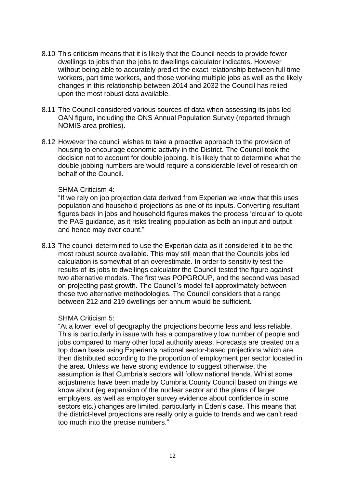- 8.10 This criticism means that it is likely that the Council needs to provide fewer dwellings to jobs than the jobs to dwellings calculator indicates. However without being able to accurately predict the exact relationship between full time workers, part time workers, and those working multiple jobs as well as the likely changes in this relationship between 2014 and 2032 the Council has relied upon the most robust data available.
- 8.11 The Council considered various sources of data when assessing its jobs led OAN figure, including the ONS Annual Population Survey (reported through NOMIS area profiles).
- 8.12 However the council wishes to take a proactive approach to the provision of housing to encourage economic activity in the District. The Council took the decision not to account for double jobbing. It is likely that to determine what the double jobbing numbers are would require a considerable level of research on behalf of the Council.

#### SHMA Criticism 4:

"If we rely on job projection data derived from Experian we know that this uses population and household projections as one of its inputs. Converting resultant figures back in jobs and household figures makes the process 'circular' to quote the PAS guidance, as it risks treating population as both an input and output and hence may over count."

8.13 The council determined to use the Experian data as it considered it to be the most robust source available. This may still mean that the Councils jobs led calculation is somewhat of an overestimate. In order to sensitivity test the results of its jobs to dwellings calculator the Council tested the figure against two alternative models. The first was POPGROUP, and the second was based on projecting past growth. The Council's model fell approximately between these two alternative methodologies. The Council considers that a range between 212 and 219 dwellings per annum would be sufficient.

#### SHMA Criticism 5:

"At a lower level of geography the projections become less and less reliable. This is particularly in issue with has a comparatively low number of people and jobs compared to many other local authority areas. Forecasts are created on a top down basis using Experian's national sector-based projections which are then distributed according to the proportion of employment per sector located in the area. Unless we have strong evidence to suggest otherwise, the assumption is that Cumbria's sectors will follow national trends. Whilst some adjustments have been made by Cumbria County Council based on things we know about (eg expansion of the nuclear sector and the plans of larger employers, as well as employer survey evidence about confidence in some sectors etc.) changes are limited, particularly in Eden's case. This means that the district-level projections are really only a guide to trends and we can't read too much into the precise numbers."